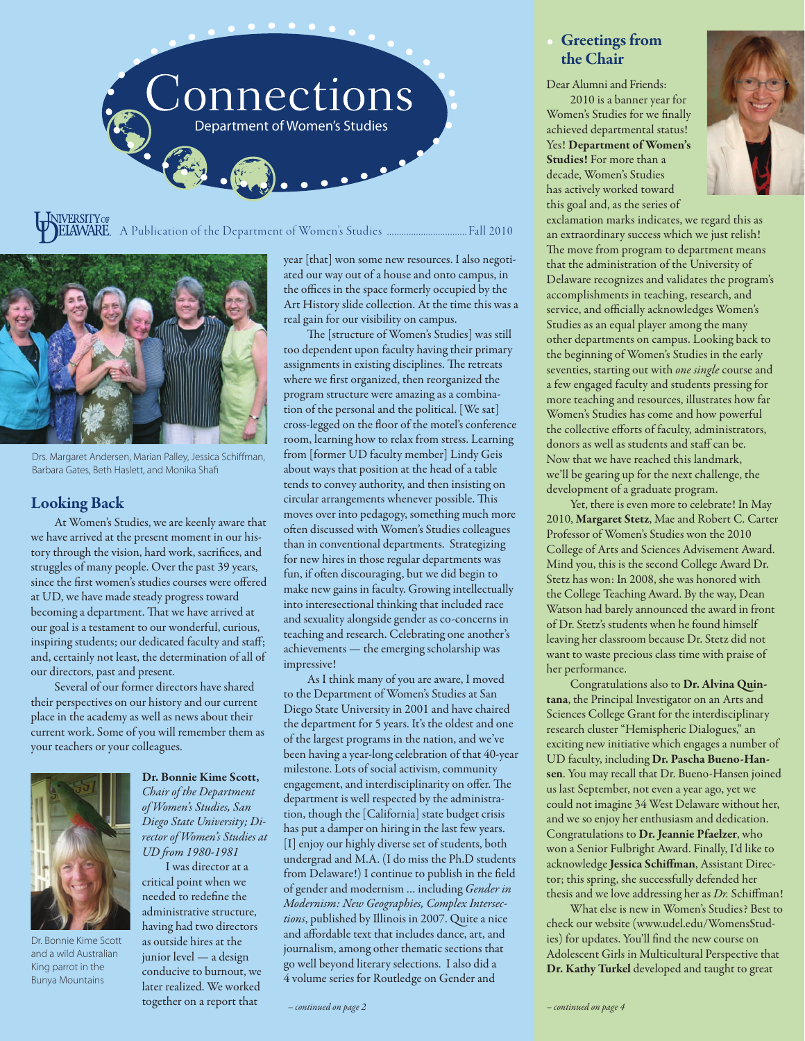

A Publication of the Department of Women's Studies ................................. Fall 2010



Drs. Margaret Andersen, Marian Palley, Jessica Schiffman, Barbara Gates, Beth Haslett, and Monika Shafi

### Looking Back

At Women's Studies, we are keenly aware that we have arrived at the present moment in our history through the vision, hard work, sacrifices, and struggles of many people. Over the past 39 years, since the first women's studies courses were offered at UD, we have made steady progress toward becoming a department. That we have arrived at our goal is a testament to our wonderful, curious, inspiring students; our dedicated faculty and staff; and, certainly not least, the determination of all of our directors, past and present.

Several of our former directors have shared their perspectives on our history and our current place in the academy as well as news about their current work. Some of you will remember them as your teachers or your colleagues.



Dr. Bonnie Kime Scott and a wild Australian King parrot in the Bunya Mountains

Dr. Bonnie Kime Scott, *Chair of the Department of Women's Studies, San Diego State University; Director of Women's Studies at UD from 1980-1981*

I was director at a critical point when we needed to redefine the administrative structure, having had two directors as outside hires at the junior level — a design conducive to burnout, we later realized. We worked together on a report that

year [that] won some new resources. I also negotiated our way out of a house and onto campus, in the offices in the space formerly occupied by the Art History slide collection. At the time this was a real gain for our visibility on campus.

The [structure of Women's Studies] was still too dependent upon faculty having their primary assignments in existing disciplines. The retreats where we first organized, then reorganized the program structure were amazing as a combination of the personal and the political. [We sat] cross-legged on the floor of the motel's conference room, learning how to relax from stress. Learning from [former UD faculty member] Lindy Geis about ways that position at the head of a table tends to convey authority, and then insisting on circular arrangements whenever possible. This moves over into pedagogy, something much more often discussed with Women's Studies colleagues than in conventional departments. Strategizing for new hires in those regular departments was fun, if often discouraging, but we did begin to make new gains in faculty. Growing intellectually into interesectional thinking that included race and sexuality alongside gender as co-concerns in teaching and research. Celebrating one another's achievements — the emerging scholarship was impressive!

As I think many of you are aware, I moved to the Department of Women's Studies at San Diego State University in 2001 and have chaired the department for 5 years. It's the oldest and one of the largest programs in the nation, and we've been having a year-long celebration of that 40-year milestone. Lots of social activism, community engagement, and interdisciplinarity on offer. The department is well respected by the administration, though the [California] state budget crisis has put a damper on hiring in the last few years. [I] enjoy our highly diverse set of students, both undergrad and M.A. (I do miss the Ph.D students from Delaware!) I continue to publish in the field of gender and modernism … including *Gender in Modernism: New Geographies, Complex Intersections*, published by Illinois in 2007. Quite a nice and affordable text that includes dance, art, and journalism, among other thematic sections that go well beyond literary selections. I also did a 4 volume series for Routledge on Gender and

### **Greetings** from the Chair

Dear Alumni and Friends: 2010 is a banner year for Women's Studies for we finally achieved departmental status! Yes! Department of Women's Studies! For more than a decade, Women's Studies has actively worked toward this goal and, as the series of



exclamation marks indicates, we regard this as an extraordinary success which we just relish! The move from program to department means that the administration of the University of Delaware recognizes and validates the program's accomplishments in teaching, research, and service, and officially acknowledges Women's Studies as an equal player among the many other departments on campus. Looking back to the beginning of Women's Studies in the early seventies, starting out with *one single* course and a few engaged faculty and students pressing for more teaching and resources, illustrates how far Women's Studies has come and how powerful the collective efforts of faculty, administrators, donors as well as students and staff can be. Now that we have reached this landmark, we'll be gearing up for the next challenge, the development of a graduate program.

Yet, there is even more to celebrate! In May 2010, Margaret Stetz, Mae and Robert C. Carter Professor of Women's Studies won the 2010 College of Arts and Sciences Advisement Award. Mind you, this is the second College Award Dr. Stetz has won: In 2008, she was honored with the College Teaching Award. By the way, Dean Watson had barely announced the award in front of Dr. Stetz's students when he found himself leaving her classroom because Dr. Stetz did not want to waste precious class time with praise of her performance.

Congratulations also to Dr. Alvina Quintana, the Principal Investigator on an Arts and Sciences College Grant for the interdisciplinary research cluster "Hemispheric Dialogues," an exciting new initiative which engages a number of UD faculty, including Dr. Pascha Bueno-Hansen. You may recall that Dr. Bueno-Hansen joined us last September, not even a year ago, yet we could not imagine 34 West Delaware without her, and we so enjoy her enthusiasm and dedication. Congratulations to Dr. Jeannie Pfaelzer, who won a Senior Fulbright Award. Finally, I'd like to acknowledge Jessica Schiffman, Assistant Director; this spring, she successfully defended her thesis and we love addressing her as *Dr.* Schiffman!

What else is new in Women's Studies? Best to check our website (www.udel.edu/WomensStudies) for updates. You'll find the new course on Adolescent Girls in Multicultural Perspective that Dr. Kathy Turkel developed and taught to great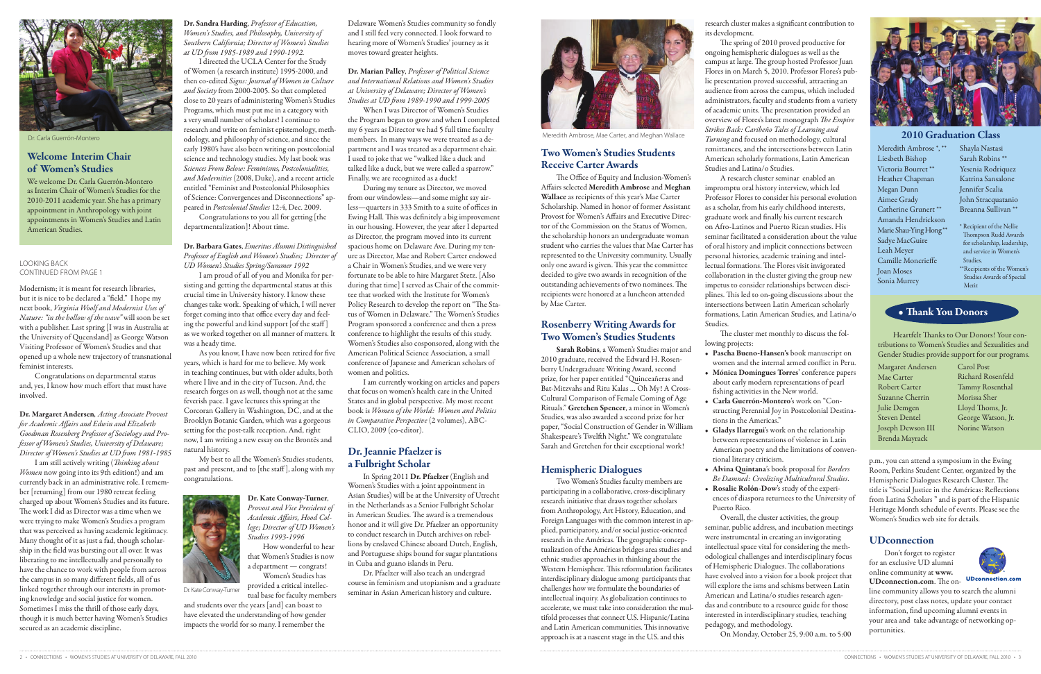# Two Women's Studies Students Receive Carter Awards

The Office of Equity and Inclusion-Women's Affairs selected Meredith Ambrose and Meghan Wallace as recipients of this year's Mae Carter Scholarship. Named in honor of former Assistant Provost for Women's Affairs and Executive Director of the Commission on the Status of Women, the scholarship honors an undergraduate woman student who carries the values that Mae Carter has represented to the University community. Usually only one award is given. This year the committee decided to give two awards in recognition of the outstanding achievements of two nominees. The recipients were honored at a luncheon attended by Mae Carter.

# Rosenberry Writing Awards for Two Women's Studies Students

Sarah Robins, a Women's Studies major and 2010 graduate, received the Edward H. Rosenberry Undergraduate Writing Award, second prize, for her paper entitled "Quinceañeras and Bat-Mitzvahs and Ritu Kalas … Oh My! A Cross-Cultural Comparison of Female Coming of Age Rituals." Gretchen Spencer, a minor in Women's Studies, was also awarded a second prize for her paper, "Social Construction of Gender in William Shakespeare's Twelfth Night." We congratulate Sarah and Gretchen for their exceptional work!

## Hemispheric Dialogues

Two Women's Studies faculty members are participating in a collaborative, cross-disciplinary research initiative that draws together scholars from Anthropology, Art History, Education, and Foreign Languages with the common interest in applied, participatory, and/or social justice-oriented research in the Américas. The geographic conceptualization of the Américas bridges area studies and ethnic studies approaches in thinking about the Western Hemisphere. This reformulation facilitates interdisciplinary dialogue among participants that challenges how we formulate the boundaries of intellectual inquiry. As globalization continues to accelerate, we must take into consideration the multifold processes that connect U.S. Hispanic/Latina and Latin American communities. This innovative approach is at a nascent stage in the U.S. and this

### research cluster makes a significant contribution to

its development.

The spring of 2010 proved productive for ongoing hemispheric dialogues as well as the campus at large. The group hosted Professor Juan Flores in on March 5, 2010. Professor Flores's public presentation proved successful, attracting an audience from across the campus, which included administrators, faculty and students from a variety of academic units. The presentation provided an overview of Flores's latest monograph *The Empire Strikes Back: Caribeño Tales of Learning and Turning* and focused on methodology, cultural remittances, and the intersections between Latin American scholarly formations, Latin American Studies and Latina/o Studies.

A research cluster seminar enabled an impromptu oral history interview, which led Professor Flores to consider his personal evolution as a scholar, from his early childhood interests, graduate work and finally his current research on Afro-Latinos and Puerto Rican studies. His seminar facilitated a consideration about the value of oral history and implicit connections between personal histories, academic training and intellectual formations. The Flores visit invigorated collaboration in the cluster giving the group new impetus to consider relationships between disciplines. This led to on-going discussions about the intersections between Latin American scholarly formations, Latin American Studies, and Latina/o Studies.

The cluster met monthly to discuss the fol-

• Pascha Bueno-Hansen's book manuscript on women and the internal armed conflict in Peru. • Mónica Domíngues Torres' conference papers about early modern representations of pearl fishing activities in the New world.

• Carla Guerrón-Montero's work on "Constructing Perennial Joy in Postcolonial Destina-

- lowing projects:
- 
- tions in the Americas."
- tional literary criticism.
- 
- Puerto Rico.

• Gladys Ilarregui's work on the relationship between representations of violence in Latin American poetry and the limitations of conven-

• Alvina Quintana's book proposal for *Borders Be Damned: Creolizing Multicultural Studies*. • Rosalie Rolón-Dow's study of the experiences of diaspora returnees to the University of



Overall, the cluster activities, the group seminar, public address, and incubation meetings were instrumental in creating an invigorating intellectual space vital for considering the methodological challenges and interdisciplinary focus of Hemispheric Dialogues. The collaborations have evolved into a vision for a book project that will explore the isms and schisms between Latin American and Latina/o studies research agendas and contribute to a resource guide for those interested in interdisciplinary studies, teaching pedagogy, and methodology.

On Monday, October 25, 9:00 a.m. to 5:00

p.m., you can attend a symposium in the Ewing Room, Perkins Student Center, organized by the Hemispheric Dialogues Research Cluster. The title is "Social Justice in the Américas: Reflections from Latina Scholars " and is part of the Hispanic Heritage Month schedule of events. Please see the Women's Studies web site for details.

## UDconnection

Don't forget to register for an exclusive UD alumni online community at www. UDconnection.com. The on-



line community allows you to search the alumni directory, post class notes, update your contact information, find upcoming alumni events in your area and take advantage of networking opportunities.

Modernism; it is meant for research libraries, but it is nice to be declared a "field." I hope my next book, *Virginia Woolf and Modernist Uses of Nature: "in the hollow of the wave"* will soon be set with a publisher. Last spring [I was in Australia at the University of Queensland] as George Watson Visiting Professor of Women's Studies and that opened up a whole new trajectory of transnational feminist interests.

> Dr. Pfaelzer will also teach an undergrad course in feminism and utopianism and a graduate Dr. Kate Conway-Turner provided a critical intellection of the course in Commission and above and culture.



Congratulations on departmental status and, yes, I know how much effort that must have involved.

Dr. Margaret Andersen*, Acting Associate Provost for Academic Affairs and Edwin and Elizabeth Goodman Rosenberg Professor of Sociology and Professor of Women's Studies, University of Delaware; Director of Women's Studies at UD from 1981-1985*

I am still actively writing (*Thinking about Women* now going into its 9th edition!) and am currently back in an administrative role. I remember [returning] from our 1980 retreat feeling charged up about Women's Studies and its future. The work I did as Director was a time when we were trying to make Women's Studies a program that was perceived as having academic legitimacy. Many thought of it as just a fad, though scholarship in the field was bursting out all over. It was liberating to me intellectually and personally to have the chance to work with people from across the campus in so many different fields, all of us linked together through our interests in promoting knowledge and social justice for women. Sometimes I miss the thrill of those early days, though it is much better having Women's Studies secured as an academic discipline.

Dr. Sandra Harding, *Professor of Education, Women's Studies, and Philosophy, University of Southern California; Director of Women's Studies at UD from 1985-1989 and 1990-1992.*

I directed the UCLA Center for the Study of Women (a research institute) 1995-2000, and then co-edited *Signs: Journal of Women in Culture and Society* from 2000-2005. So that completed close to 20 years of administering Women's Studies Programs, which must put me in a category with a very small number of scholars! I continue to research and write on feminist epistemology, meth-Or. Carla Guerrón-Montero **Electron Meredith Ambrose, Mae Carter**, and Meghan Wallace odology, and philosophy of science, and since the members. In many ways we were treated as a de-<br>Dr. Carla Guerrón-Montero Mae Carter, a early 1980's have also been writing on postcolonial science and technology studies. My last book was *Sciences From Below: Feminisms, Postcolonialities, and Modernities* (2008, Duke), and a recent article entitled "Feminist and Postcolonial Philosophies

of Science: Convergences and Disconnections" ap-

peared in *Postcolonial Studies* 12:4, Dec. 2009. Congratulations to you all for getting [the departmentalization]! About time.

Dr. Barbara Gates, *Emeritus Alumni Distinguished Professor of English and Women's Studies; Director of UD Women's Studies Spring/Summer 1992*

I am proud of all of you and Monika for persisting and getting the departmental status at this crucial time in University history. I know these changes take work. Speaking of which, I will never forget coming into that office every day and feeling the powerful and kind support [of the staff ] as we worked together on all manner of matters. It was a heady time.

As you know, I have now been retired for five years, which is hard for me to believe. My work in teaching continues, but with older adults, both where I live and in the city of Tucson. And, the research forges on as well, though not at the same feverish pace. I gave lectures this spring at the Corcoran Gallery in Washington, DC, and at the Brooklyn Botanic Garden, which was a gorgeous setting for the post-talk reception. And, right now, I am writing a new essay on the Brontës and natural history.

My best to all the Women's Studies students, past and present, and to [the staff ], along with my congratulations.



provided a critical intellec-

How wonderful to hear

Women's Studies has

tual base for faculty members and students over the years [and] can boast to have elevated the understanding of how gender impacts the world for so many. I remember the

Delaware Women's Studies community so fondly and I still feel very connected. I look forward to hearing more of Women's Studies' journey as it moves toward greater heights.

Dr. Marian Palley, *Professor of Political Science and International Relations and Women's Studies at University of Delaware; Director of Women's Studies at UD from 1989-1990 and 1999-2005*

When I was Director of Women's Studies the Program began to grow and when I completed my 6 years as Director we had 5 full time faculty members. In many ways we were treated as a department and I was treated as a department chair. I used to joke that we "walked like a duck and talked like a duck, but we were called a sparrow." Finally, we are recognized as a duck!

During my tenure as Director, we moved from our windowless—and some might say airless—quarters in 333 Smith to a suite of offices in Ewing Hall. This was definitely a big improvement in our housing. However, the year after I departed as Director, the program moved into its current spacious home on Delaware Ave. During my tenure as Director, Mae and Robert Carter endowed a Chair in Women's Studies, and we were very fortunate to be able to hire Margaret Stetz. [Also during that time] I served as Chair of the committee that worked with the Institute for Women's Policy Research to develop the report on "The Status of Women in Delaware." The Women's Studies Program sponsored a conference and then a press conference to highlight the results of this study. Women's Studies also cosponsored, along with the American Political Science Association, a small conference of Japanese and American scholars of women and politics.

I am currently working on articles and papers that focus on women's health care in the United States and in global perspective. My most recent book is *Women of the World: Women and Politics in Comparative Perspective* (2 volumes), ABC-CLIO, 2009 (co-editor).

## Dr. Jeannie Pfaelzer is a Fulbright Scholar

In Spring 2011 Dr. Pfaelzer (English and Women's Studies with a joint appointment in Asian Studies) will be at the University of Utrecht in the Netherlands as a Senior Fulbright Scholar in American Studies. The award is a tremendous honor and it will give Dr. Pfaelzer an opportunity to conduct research in Dutch archives on rebellions by enslaved Chinese aboard Dutch, English, and Portuguese ships bound for sugar plantations in Cuba and guano islands in Peru.

#### Looking back continued from page 1



## Welcome Interim Chair of Women's Studies

We welcome Dr. Carla Guerrón-Montero as Interim Chair of Women's Studies for the 2010-2011 academic year. She has a primary appointment in Anthropology with joint appointments in Women's Studies and Latin American Studies.

> Heartfelt Thanks to Our Donors! Your contributions to Women's Studies and Sexualities and Gender Studies provide support for our programs.

Meredith Ambrose \*, \*\* Liesbeth Bishop Victoria Bourret \*\* Heather Chapman Megan Dunn Aimee Grady Catherine Grunert \*\* Amanda Hendrickson Marie Shau-Ying Hong \*\* Sadye MacGuire Leah Meyer Camille Moncrieffe Joan Moses Sonia Murrey

Shayla Nastasi Sarah Robins \*\* Yesenia Rodriquez Katrina Sansalone Jennifer Scalia John Stracquatanio Breanna Sullivan \*\*

- \* Recipient of the Nellie Thompson Rudd Awards for scholarship, leadership, and service in Women's Studies.
- \*\*Recipients of the Women's Studies Awards of Special Merit

# • Thank You Donors

- Margaret Andersen Mae Carter Robert Carter Suzanne Cherrin Julie Demgen Steven Dentel Joseph Dewson III Brenda Mayrack
- Carol Post Richard Rosenfeld Tammy Rosenthal Morissa Sher Lloyd Thoms, Jr. George Watson, Jr. Norine Watson

### 2010 Graduation Class